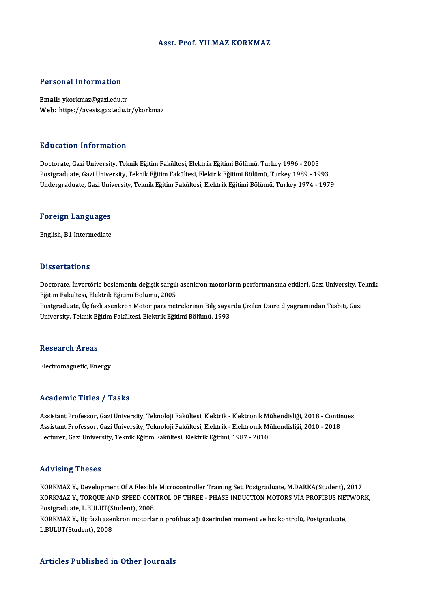# Asst. Prof. YILMAZ KORKMAZ

# Personal Information

Email: ykorkmaz@gazi.edu.tr Web: https://avesis.gazi.edu.tr/ykorkmaz

## Education Information

Doctorate,GaziUniversity,TeknikEğitimFakültesi,ElektrikEğitimiBölümü,Turkey1996 -2005 Postgraduate, Gazi University, Teknik Eğitim Fakültesi, Elektrik Eğitimi Bölümü, Turkey 1989 - 1993 Undergraduate,GaziUniversity,TeknikEğitimFakültesi,ElektrikEğitimiBölümü,Turkey1974 -1979

# <sub>ondergraduate, Gazi oni<br>Foreign Languages</sub> F<mark>oreign Languages</mark><br>English, B1 Intermediate

English, B1 Intermediate<br>Dissertations

Dissertations<br>Doctorate, İnvertörle beslemenin değişik sargılı asenkron motorların performansına etkileri, Gazi University, Teknik<br>Fğitim Fakültesi, Flektrik Fğitimi Pölümü, 2005 Eğitim Fakültesi, Elektrik Eğitimi Bölümü, 2005<br>Postgraduate, Üç fazlı asenkron Motor parametrelerinin Bilgisayarda Çizilen Daire diyagramından Tesbiti, Gazi Doctorate, İnvertörle beslemenin değişik sargılı asenkron motorların performansına etkileri, Gazi University, T<br>Eğitim Fakültesi, Elektrik Eğitimi Bölümü, 2005<br>Postgraduate, Üç fazlı asenkron Motor parametrelerinin Bilgisa

University, Teknik Eğitim Fakültesi, Elektrik Eğitimi Bölümü, 1993

### **Research Areas**

Electromagnetic, Energy

## Academic Titles / Tasks

Academic Titles / Tasks<br>Assistant Professor, Gazi University, Teknoloji Fakültesi, Elektrik - Elektronik Mühendisliği, 2018 - Continues<br>Assistant Professor, Cari University, Teknoloji Fakültesi, Elektrik, Elektronik Mühend Assistant Professor, Gazi University, Teknoloji Fakültesi, Elektrik - Elektronik Mühendisliği, 2018 - Contin<br>Assistant Professor, Gazi University, Teknoloji Fakültesi, Elektrik - Elektronik Mühendisliği, 2010 - 2018<br>Lectur Assistant Professor, Gazi University, Teknoloji Fakültesi, Elektrik - Elektronik Mı<br>Assistant Professor, Gazi University, Teknoloji Fakültesi, Elektrik - Elektronik Mı<br>Lecturer, Gazi University, Teknik Eğitim Fakültesi, El Lecturer, Gazi University, Teknik Eğitim Fakültesi, Elektrik Eğitimi, 1987 - 2010<br>Advising Theses

Advising Theses<br>KORKMAZ Y., Development Of A Flexible Microcontroller Training Set, Postgraduate, M.DARKA(Student), 2017<br>KORKMAZ Y., TOROUE AND SPEED CONTROL OF THREE, RHASE INDUCTION MOTORS VIA PROFIBUS NETWOR TERVISHIS I HESSE<br>KORKMAZ Y., Development Of A Flexible Microcontroller Training Set, Postgraduate, M.DARKA(Student), 2017<br>KORKMAZ Y., TORQUE AND SPEED CONTROL OF THREE - PHASE INDUCTION MOTORS VIA PROFIBUS NETWORK, KORKMAZ Y., Development Of A Flexible<br>KORKMAZ Y., TORQUE AND SPEED CON<br>Postgraduate, L.BULUT(Student), 2008<br>KORKMAZ Y. Üe fark asarlman matarka KORKMAZ Y., TORQUE AND SPEED CONTROL OF THREE - PHASE INDUCTION MOTORS VIA PROFIBUS NET<br>Postgraduate, L.BULUT(Student), 2008<br>KORKMAZ Y., Üç fazlı asenkron motorların profibus ağı üzerinden moment ve hız kontrolü, Postgradu

Postgraduate, L.BULUT(Student), 2008<br>KORKMAZ Y., Üç fazlı asenkron motorların profibus ağı üzerinden moment ve hız kontrolü, Postgraduate,<br>L.BULUT(Student), 2008

# Articles Published in Other Journals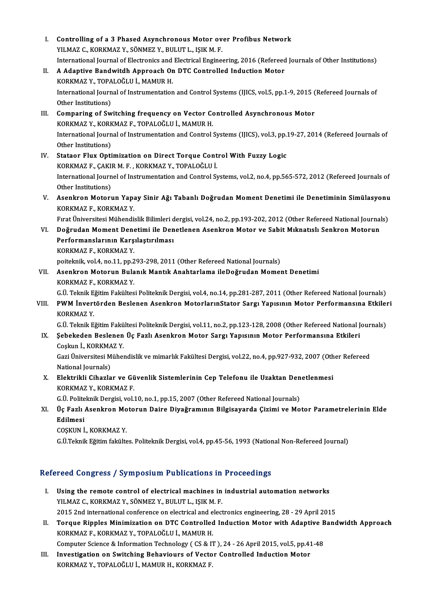- I. Controlling of a 3 Phased Asynchronous Motor over Profibus Network<br>VILMAZ G KORKMAZ V SÖNMEZ V PHLITT LISIK M F Controlling of a 3 Phased Asynchronous Motor ov<br>YILMAZ C., KORKMAZ Y., SÖNMEZ Y., BULUT L., IŞIK M. F.<br>International Journal of Flectronics and Electrical Engine YILMAZ C., KORKMAZ Y., SÖNMEZ Y., BULUT L., IŞIK M. F.<br>International Journal of Electronics and Electrical Engineering, 2016 (Refereed Journals of Other Institutions) YILMAZ C., KORKMAZ Y., SÖNMEZ Y., BULUT L., IŞIK M. F.<br>International Journal of Electronics and Electrical Engineering, 2016 (Refereed<br>II. A Adaptive Bandwitdh Approach On DTC Controlled Induction Motor<br>VORKMAZ V. TORALOČL International Journal of Electronics and<br>A Adaptive Bandwitdh Approach Or<br>KORKMAZ Y., TOPALOĞLU İ., MAMUR H.<br>International Journal of Instrumentation A Adaptive Bandwitdh Approach On DTC Controlled Induction Motor<br>KORKMAZ Y., TOPALOĞLU İ., MAMUR H.<br>International Journal of Instrumentation and Control Systems (IJICS, vol.5, pp.1-9, 2015 (Refereed Journals of<br>Other Instit KORKMAZ Y., TOPA<br>International Journ<br>Other Institutions)<br>Comparing of Sw International Journal of Instrumentation and Control Systems (IJICS, vol.5, pp.1-9, 2015)<br>Other Institutions)<br>III. Comparing of Switching frequency on Vector Controlled Asynchronous Motor<br>KORKMAZ V. KORKMAZ E. TORALOČIJI J Other Institutions)<br>Comparing of Switching frequency on Vector Co<br>KORKMAZ Y., KORKMAZ F., TOPALOĞLU İ., MAMUR H.<br>International Journal of Instrumentation and Control Comparing of Switching frequency on Vector Controlled Asynchronous Motor<br>KORKMAZ Y., KORKMAZ F., TOPALOĞLU İ., MAMUR H.<br>International Journal of Instrumentation and Control Systems (IJICS), vol.3, pp.19-27, 2014 (Refereed KORKMAZ Y., KORK<br>International Journ<br>Other Institutions)<br>Stateor Flux Onti International Journal of Instrumentation and Control Systems (IJICS), vol.3, pp.<br>Other Institutions)<br>IV. Stataor Flux Optimization on Direct Torque Control With Fuzzy Logic<br>KORKMAZE CAKIRM E. KORKMAZ Y. TORALOĞLU İ Other Institutions)<br>IV. Stataor Flux Optimization on Direct Torque Control With Fuzzy Logic<br>KORKMAZ F., ÇAKIR M. F., KORKMAZ Y., TOPALOĞLU İ. Stataor Flux Optimization on Direct Torque Control With Fuzzy Logic<br>KORKMAZ F., ÇAKIR M. F. , KORKMAZ Y., TOPALOĞLU İ.<br>International Journel of Instrumentation and Control Systems, vol.2, no.4, pp.565-572, 2012 (Refereed J KORKMAZ F., ÇAKII<br>International Journ<br>Other Institutions)<br>Aconknon Motoru International Journel of Instrumentation and Control Systems, vol.2, no.4, pp.565-572, 2012 (Refereed Journals of<br>Other Institutions)<br>V. Asenkron Motorun Yapay Sinir Ağı Tabanlı Doğrudan Moment Denetimi ile Denetiminin Sim Other Institutions)<br>V. Asenkron Motorun Yapay Sinir Ağı Tabanlı Doğrudan Moment Denetimi ile Denetiminin Simülasyonu<br>KORKMAZ F., KORKMAZ Y. Asenkron Motorun Yapay Sinir Ağı Tabanlı Doğrudan Moment Denetimi ile Denetiminin Simülasyonu<br>KORKMAZ F., KORKMAZ Y.<br>Fırat Üniversitesi Mühendislik Bilimleri dergisi, vol.24, no.2, pp.193-202, 2012 (Other Refereed National KORKMAZ F., KORKMAZ Y.<br>Fırat Üniversitesi Mühendislik Bilimleri dergisi, vol.24, no.2, pp.193-202, 2012 (Other Refereed National Journal<br>VI. Doğrudan Moment Denetimi ile Denetlenen Asenkron Motor ve Sabit Mıknatıslı Senkro Fırat Üniversitesi Mühendislik Bilimleri d<br>Doğrudan Moment Denetimi ile Den<br>Performanslarının Karşılaştırılması<br>KORKMAZ E. KORKMAZ V VI. Doğrudan Moment Denetimi ile Denetlenen Asenkron Motor ve Sabit Mıknatıslı Senkron Motorun<br>Performanslarının Karşılaştırılması<br>KORKMAZ F., KORKMAZ Y. poiteknik, vol.4, no.11, pp.293-298, 2011 (Other Refereed National Journals) KORKMAZ F., KORKMAZ Y.<br>poiteknik, vol.4, no.11, pp.293-298, 2011 (Other Refereed National Journals)<br>VII. Asenkron Motorun Bulanık Mantık Anahtarlama ileDoğrudan Moment Denetimi<br>KORKMAZ E. KORKMAZ V poiteknik, vol.4, no.11, pp.2<br>Asenkron Motorun Bula<br>KORKMAZ F., KORKMAZ Y.<br>C.Ü. Telmik Fğitim Fokültes Asenkron Motorun Bulanık Mantık Anahtarlama ileDoğrudan Moment Denetimi<br>KORKMAZ F., KORKMAZ Y.<br>G.Ü. Teknik Eğitim Fakültesi Politeknik Dergisi, vol.4, no.14, pp.281-287, 2011 (Other Refereed National Journals)<br>PWM İnvertör KORKMAZ F., KORKMAZ Y.<br>G.Ü. Teknik Eğitim Fakültesi Politeknik Dergisi, vol.4, no.14, pp.281-287, 2011 (Other Refereed National Journals)<br>VIII. PWM İnvertörden Beslenen Asenkron MotorlarınStator Sargı Yapısının Motor P G.Ü. Teknik E.<br>PWM İnvert<br>KORKMAZ Y.<br>G.Ü. Teknik E. PWM İnvertörden Beslenen Asenkron MotorlarınStator Sargı Yapısının Motor Performansına Etkileı<br>KORKMAZ Y.<br>G.Ü. Teknik Eğitim Fakültesi Politeknik Dergisi, vol.11, no.2, pp.123-128, 2008 (Other Refereed National Journals)<br>S KORKMAZ Y.<br>IX. Ö.Ü. Teknik Eğitim Fakültesi Politeknik Dergisi, vol.11, no.2, pp.123-128, 2008 (Other Refereed National J<br>IX. Ösebekeden Beslenen Üç Fazlı Asenkron Motor Sargı Yapısının Motor Performansına Etkileri<br>Ceslun G.Ü. Teknik Eğitim Fakü<br>Şebekeden Beslenen<br>Coşkun İ., KORKMAZ Y.<br>Ceri Üniversitesi Mühal Şebekeden Beslenen Üç Fazlı Asenkron Motor Sargı Yapısının Motor Performansına Etkileri<br>Coşkun İ., KORKMAZ Y.<br>Gazi Üniversitesi Mühendislik ve mimarlık Fakültesi Dergisi, vol.22, no.4, pp.927-932, 2007 (Other Refereed<br>Nati Coşkun İ., KORKMAZ Y.<br>Gazi Üniversitesi Mühendislik ve mimarlık Fakültesi Dergisi, vol.22, no.4, pp.927-932, 2007 (Other Refereed<br>National Journals) Gazi Üniversitesi Mühendislik ve mimarlık Fakültesi Dergisi, vol.22, no.4, pp.927-932, 2007 (Oth<br>National Journals)<br>X. Elektrikli Cihazlar ve Güvenlik Sistemlerinin Cep Telefonu ile Uzaktan Denetlenmesi<br>KORKMAZ V. KORKMAZ National Journals)<br>Elektrikli Cihazlar ve Gü<br>KORKMAZ Y., KORKMAZ F.<br>C.Ü. Politelmik Dorgisi vel. Elektrikli Cihazlar ve Güvenlik Sistemlerinin Cep Telefonu ile Uzaktan Den<br>KORKMAZ Y., KORKMAZ F.<br>G.Ü. Politeknik Dergisi, vol.10, no.1, pp.15, 2007 (Other Refereed National Journals)<br>Üe Ferli Asenkran Meterun Deire Diveğr KORKMAZ Y., KORKMAZ F.<br>G.Ü. Politeknik Dergisi, vol.10, no.1, pp.15, 2007 (Other Refereed National Journals)<br>XI. Üç Fazlı Asenkron Motorun Daire Diyağramının Bilgisayarda Çizimi ve Motor Parametrelerinin Elde<br>Edilmesi G.Ü. Politeknik Dergisi, vol.10, no.1, pp.15, 2007 (Other Refereed National Journals) COŞKUNİ.,KORKMAZ Y. G.Ü.Teknik Eğitim fakültes. Politeknik Dergisi, vol.4, pp.45-56, 1993 (National Non-Refereed Journal) Refereed Congress / Symposium Publications in Proceedings
	- I. Using the remote control of electrical machines in industrial automation networks YILMAZ C., KORKMAZ Y., SÖNMEZ Y., BULUT L., IŞIK M. F. 2015 2nd international conference onelectricaland electronics engineering,28 -29April2015 YILMAZ C., KORKMAZ Y., SÖNMEZ Y., BULUT L., IŞIK M. F.<br>2015 2nd international conference on electrical and electronics engineering, 28 - 29 April 2015<br>II. Torque Ripples Minimization on DTC Controlled Induction Motor w
	- KORKMAZ F., KORKMAZ Y., TOPALOĞLU İ., MAMUR H. Torque Ripples Minimization on DTC Controlled Induction Motor with Adaptive B<br>KORKMAZ F., KORKMAZ Y., TOPALOĞLU İ., MAMUR H.<br>Computer Science & Information Technology ( CS & IT ), 24 - 26 April 2015, vol.5, pp.41-48<br>Invest Computer Science & Information Technology (CS & IT), 24 - 26 April 2015, vol.5, pp.41-48
- III. Investigation on Switching Behaviours of Vector Controlled Induction Motor<br>KORKMAZ Y., TOPALOĞLU İ., MAMUR H., KORKMAZ F.